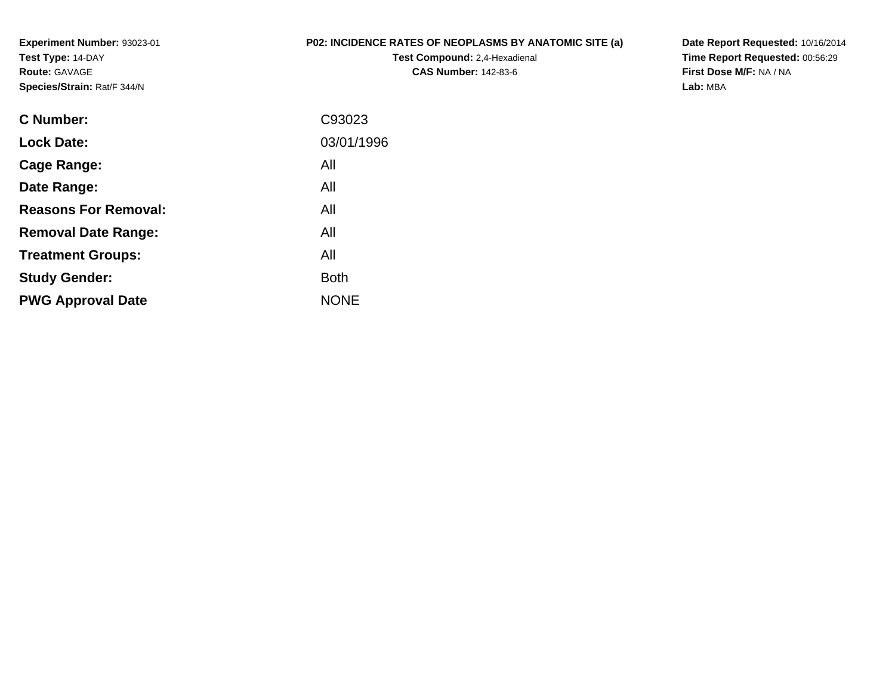**Experiment Number:** 93023-01**Test Type:** 14-DAY**Route:** GAVAGE**Species/Strain:** Rat/F 344/N

## **P02: INCIDENCE RATES OF NEOPLASMS BY ANATOMIC SITE (a)**

**Test Compound:** 2,4-Hexadienal **CAS Number:** 142-83-6

**Date Report Requested:** 10/16/2014 **Time Report Requested:** 00:56:29**First Dose M/F:** NA / NA**Lab:** MBA

| C Number:                   | C93023      |
|-----------------------------|-------------|
| <b>Lock Date:</b>           | 03/01/1996  |
| Cage Range:                 | All         |
| Date Range:                 | All         |
| <b>Reasons For Removal:</b> | All         |
| <b>Removal Date Range:</b>  | All         |
| <b>Treatment Groups:</b>    | All         |
| <b>Study Gender:</b>        | <b>Both</b> |
| <b>PWG Approval Date</b>    | <b>NONE</b> |
|                             |             |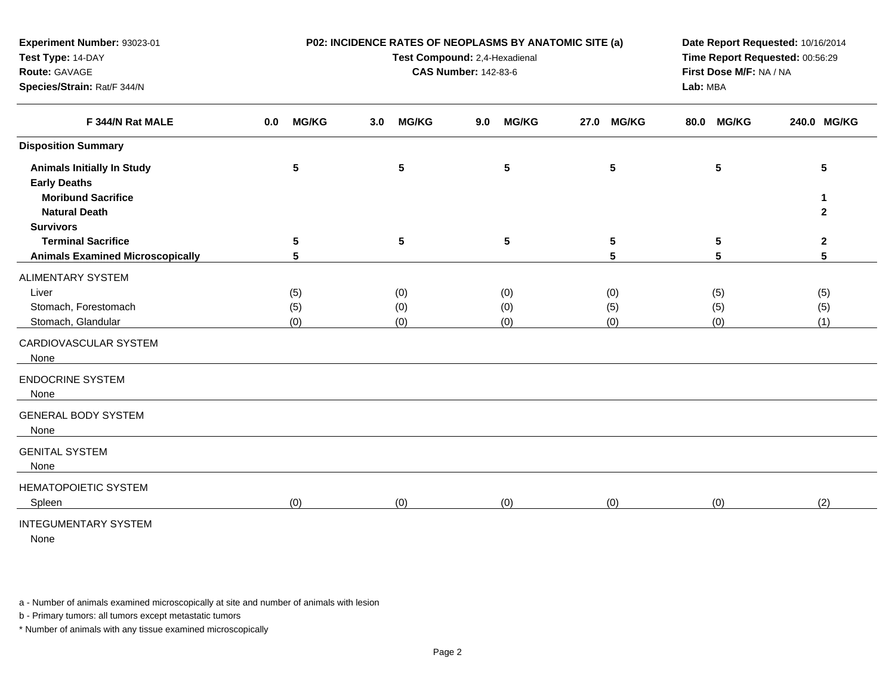| Experiment Number: 93023-01             |                      | P02: INCIDENCE RATES OF NEOPLASMS BY ANATOMIC SITE (a) | Date Report Requested: 10/16/2014 |                      |                      |                   |  |
|-----------------------------------------|----------------------|--------------------------------------------------------|-----------------------------------|----------------------|----------------------|-------------------|--|
| Test Type: 14-DAY                       |                      | Test Compound: 2,4-Hexadienal                          | Time Report Requested: 00:56:29   |                      |                      |                   |  |
| Route: GAVAGE                           |                      | <b>CAS Number: 142-83-6</b>                            | First Dose M/F: NA / NA           |                      |                      |                   |  |
| Species/Strain: Rat/F 344/N             |                      |                                                        | Lab: MBA                          |                      |                      |                   |  |
| F 344/N Rat MALE                        | <b>MG/KG</b><br>0.0  | <b>MG/KG</b><br>3.0                                    | <b>MG/KG</b><br>9.0               | 27.0<br><b>MG/KG</b> | <b>MG/KG</b><br>80.0 | 240.0 MG/KG       |  |
| <b>Disposition Summary</b>              |                      |                                                        |                                   |                      |                      |                   |  |
| <b>Animals Initially In Study</b>       | $\sqrt{5}$           | $5\phantom{.0}$                                        | ${\bf 5}$                         | 5                    | 5                    | 5                 |  |
| <b>Early Deaths</b>                     |                      |                                                        |                                   |                      |                      |                   |  |
| <b>Moribund Sacrifice</b>               |                      |                                                        |                                   |                      |                      | $\mathbf{1}$      |  |
| <b>Natural Death</b>                    |                      |                                                        |                                   |                      |                      | $\mathbf{2}$      |  |
| <b>Survivors</b>                        |                      |                                                        |                                   |                      |                      |                   |  |
| <b>Terminal Sacrifice</b>               | $5\phantom{.0}$<br>5 | 5                                                      | 5                                 | 5<br>5               | 5<br>5               | $\mathbf{2}$<br>5 |  |
| <b>Animals Examined Microscopically</b> |                      |                                                        |                                   |                      |                      |                   |  |
| <b>ALIMENTARY SYSTEM</b>                |                      |                                                        |                                   |                      |                      |                   |  |
| Liver                                   | (5)                  | (0)                                                    | (0)                               | (0)                  | (5)                  | (5)               |  |
| Stomach, Forestomach                    | (5)                  | (0)                                                    | (0)                               | (5)                  | (5)                  | (5)               |  |
| Stomach, Glandular                      | (0)                  | (0)                                                    | (0)                               | (0)                  | (0)                  | (1)               |  |
| CARDIOVASCULAR SYSTEM<br>None           |                      |                                                        |                                   |                      |                      |                   |  |
| <b>ENDOCRINE SYSTEM</b><br>None         |                      |                                                        |                                   |                      |                      |                   |  |
| <b>GENERAL BODY SYSTEM</b><br>None      |                      |                                                        |                                   |                      |                      |                   |  |
| <b>GENITAL SYSTEM</b><br>None           |                      |                                                        |                                   |                      |                      |                   |  |
| <b>HEMATOPOIETIC SYSTEM</b>             |                      |                                                        |                                   |                      |                      |                   |  |
| Spleen                                  | (0)                  | (0)                                                    | (0)                               | (0)                  | (0)                  | (2)               |  |
| <b>INTEGUMENTARY SYSTEM</b><br>None     |                      |                                                        |                                   |                      |                      |                   |  |

a - Number of animals examined microscopically at site and number of animals with lesion

b - Primary tumors: all tumors except metastatic tumors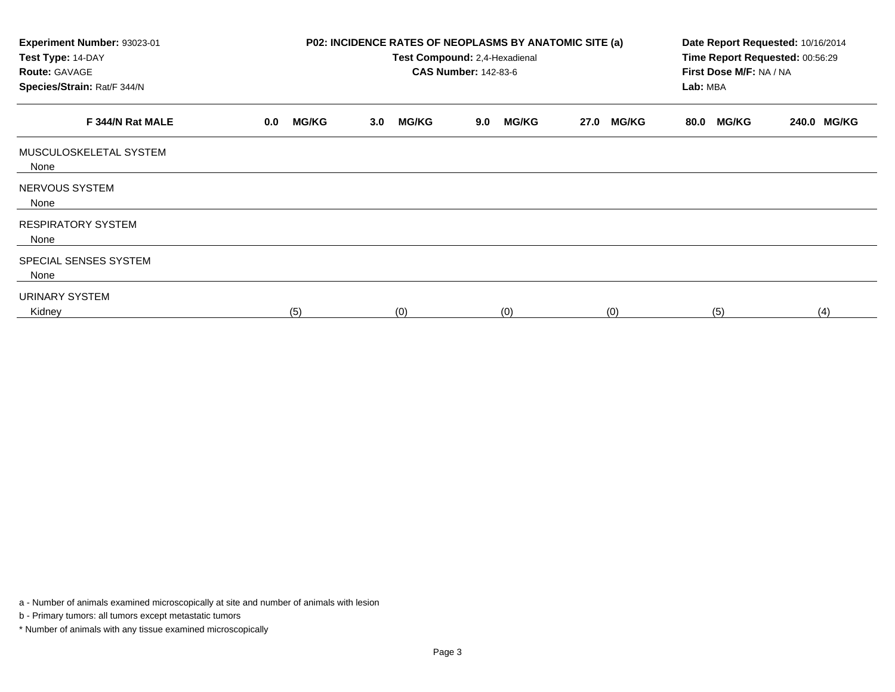| Experiment Number: 93023-01<br>Test Type: 14-DAY<br><b>Route: GAVAGE</b><br>Species/Strain: Rat/F 344/N | P02: INCIDENCE RATES OF NEOPLASMS BY ANATOMIC SITE (a) | Date Report Requested: 10/16/2014<br>Time Report Requested: 00:56:29<br>First Dose M/F: NA / NA<br>Lab: MBA |                     |                      |                      |             |
|---------------------------------------------------------------------------------------------------------|--------------------------------------------------------|-------------------------------------------------------------------------------------------------------------|---------------------|----------------------|----------------------|-------------|
| F 344/N Rat MALE                                                                                        | <b>MG/KG</b><br>0.0                                    | <b>MG/KG</b><br>3.0                                                                                         | <b>MG/KG</b><br>9.0 | <b>MG/KG</b><br>27.0 | <b>MG/KG</b><br>80.0 | 240.0 MG/KG |
| MUSCULOSKELETAL SYSTEM<br>None                                                                          |                                                        |                                                                                                             |                     |                      |                      |             |
| NERVOUS SYSTEM<br>None                                                                                  |                                                        |                                                                                                             |                     |                      |                      |             |
| <b>RESPIRATORY SYSTEM</b><br>None                                                                       |                                                        |                                                                                                             |                     |                      |                      |             |
| SPECIAL SENSES SYSTEM<br>None                                                                           |                                                        |                                                                                                             |                     |                      |                      |             |
| URINARY SYSTEM<br>Kidney                                                                                | (5)                                                    | (0)                                                                                                         | (0)                 | (0)                  | (5)                  | (4)         |

a - Number of animals examined microscopically at site and number of animals with lesion

b - Primary tumors: all tumors except metastatic tumors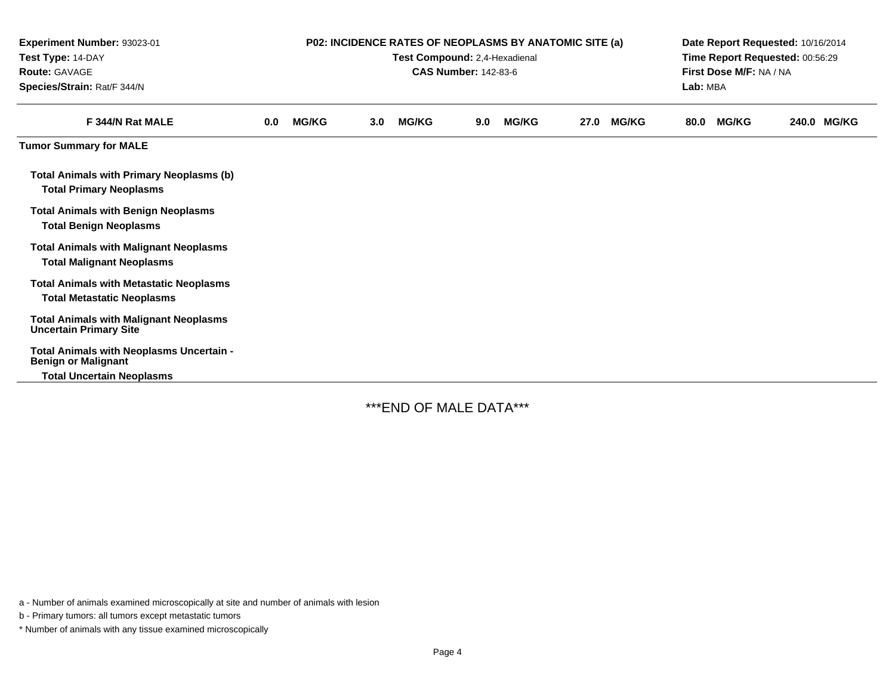| Experiment Number: 93023-01<br>Test Type: 14-DAY<br><b>Route: GAVAGE</b><br>Species/Strain: Rat/F 344/N | <b>P02: INCIDENCE RATES OF NEOPLASMS BY ANATOMIC SITE (a)</b><br>Test Compound: 2,4-Hexadienal<br><b>CAS Number: 142-83-6</b> |              |     |              |     |              |      |              | Date Report Requested: 10/16/2014<br>Time Report Requested: 00:56:29<br>First Dose M/F: NA / NA<br>Lab: MBA |              |       |              |  |
|---------------------------------------------------------------------------------------------------------|-------------------------------------------------------------------------------------------------------------------------------|--------------|-----|--------------|-----|--------------|------|--------------|-------------------------------------------------------------------------------------------------------------|--------------|-------|--------------|--|
| F 344/N Rat MALE                                                                                        | 0.0                                                                                                                           | <b>MG/KG</b> | 3.0 | <b>MG/KG</b> | 9.0 | <b>MG/KG</b> | 27.0 | <b>MG/KG</b> | 80.0                                                                                                        | <b>MG/KG</b> | 240.0 | <b>MG/KG</b> |  |
| <b>Tumor Summary for MALE</b>                                                                           |                                                                                                                               |              |     |              |     |              |      |              |                                                                                                             |              |       |              |  |
| Total Animals with Primary Neoplasms (b)<br><b>Total Primary Neoplasms</b>                              |                                                                                                                               |              |     |              |     |              |      |              |                                                                                                             |              |       |              |  |
| <b>Total Animals with Benign Neoplasms</b><br><b>Total Benign Neoplasms</b>                             |                                                                                                                               |              |     |              |     |              |      |              |                                                                                                             |              |       |              |  |
| <b>Total Animals with Malignant Neoplasms</b><br><b>Total Malignant Neoplasms</b>                       |                                                                                                                               |              |     |              |     |              |      |              |                                                                                                             |              |       |              |  |
| <b>Total Animals with Metastatic Neoplasms</b><br><b>Total Metastatic Neoplasms</b>                     |                                                                                                                               |              |     |              |     |              |      |              |                                                                                                             |              |       |              |  |
| <b>Total Animals with Malignant Neoplasms</b><br><b>Uncertain Primary Site</b>                          |                                                                                                                               |              |     |              |     |              |      |              |                                                                                                             |              |       |              |  |
| Total Animals with Neoplasms Uncertain -<br><b>Benign or Malignant</b>                                  |                                                                                                                               |              |     |              |     |              |      |              |                                                                                                             |              |       |              |  |
| <b>Total Uncertain Neoplasms</b>                                                                        |                                                                                                                               |              |     |              |     |              |      |              |                                                                                                             |              |       |              |  |

\*\*\*END OF MALE DATA\*\*\*

a - Number of animals examined microscopically at site and number of animals with lesion

b - Primary tumors: all tumors except metastatic tumors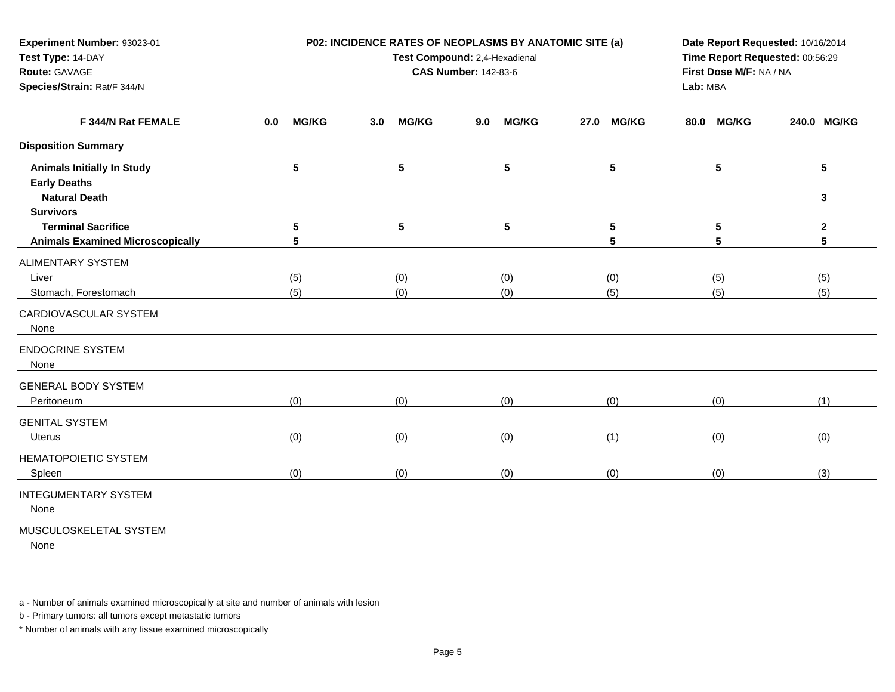| Experiment Number: 93023-01                              |                     | P02: INCIDENCE RATES OF NEOPLASMS BY ANATOMIC SITE (a) | Date Report Requested: 10/16/2014 |                         |                      |              |  |
|----------------------------------------------------------|---------------------|--------------------------------------------------------|-----------------------------------|-------------------------|----------------------|--------------|--|
| Test Type: 14-DAY                                        |                     | Test Compound: 2,4-Hexadienal                          | Time Report Requested: 00:56:29   |                         |                      |              |  |
| Route: GAVAGE                                            |                     | <b>CAS Number: 142-83-6</b>                            |                                   | First Dose M/F: NA / NA |                      |              |  |
| Species/Strain: Rat/F 344/N                              |                     |                                                        | Lab: MBA                          |                         |                      |              |  |
| F 344/N Rat FEMALE                                       | <b>MG/KG</b><br>0.0 | <b>MG/KG</b><br>3.0                                    | <b>MG/KG</b><br>9.0               | <b>MG/KG</b><br>27.0    | <b>MG/KG</b><br>80.0 | 240.0 MG/KG  |  |
| <b>Disposition Summary</b>                               |                     |                                                        |                                   |                         |                      |              |  |
| <b>Animals Initially In Study</b><br><b>Early Deaths</b> | 5                   | ${\bf 5}$                                              | ${\bf 5}$                         | 5                       | 5                    | 5            |  |
| <b>Natural Death</b><br><b>Survivors</b>                 |                     |                                                        |                                   |                         |                      | 3            |  |
| <b>Terminal Sacrifice</b>                                | $5\phantom{.0}$     | 5                                                      | 5                                 | 5                       | $5\phantom{.0}$      | $\mathbf{2}$ |  |
| <b>Animals Examined Microscopically</b>                  | 5                   |                                                        |                                   | 5                       | 5                    | 5            |  |
| <b>ALIMENTARY SYSTEM</b>                                 |                     |                                                        |                                   |                         |                      |              |  |
| Liver                                                    | (5)                 | (0)                                                    | (0)                               | (0)                     | (5)                  | (5)          |  |
| Stomach, Forestomach                                     | (5)                 | (0)                                                    | (0)                               | (5)                     | (5)                  | (5)          |  |
| CARDIOVASCULAR SYSTEM<br>None                            |                     |                                                        |                                   |                         |                      |              |  |
| <b>ENDOCRINE SYSTEM</b><br>None                          |                     |                                                        |                                   |                         |                      |              |  |
| <b>GENERAL BODY SYSTEM</b>                               |                     |                                                        |                                   |                         |                      |              |  |
| Peritoneum                                               | (0)                 | (0)                                                    | (0)                               | (0)                     | (0)                  | (1)          |  |
| <b>GENITAL SYSTEM</b>                                    |                     |                                                        |                                   |                         |                      |              |  |
| Uterus                                                   | (0)                 | (0)                                                    | (0)                               | (1)                     | (0)                  | (0)          |  |
| <b>HEMATOPOIETIC SYSTEM</b><br>Spleen                    | (0)                 | (0)                                                    | (0)                               | (0)                     | (0)                  | (3)          |  |
| <b>INTEGUMENTARY SYSTEM</b><br>None                      |                     |                                                        |                                   |                         |                      |              |  |
| MUSCULOSKELETAL SYSTEM                                   |                     |                                                        |                                   |                         |                      |              |  |

None

b - Primary tumors: all tumors except metastatic tumors

a - Number of animals examined microscopically at site and number of animals with lesion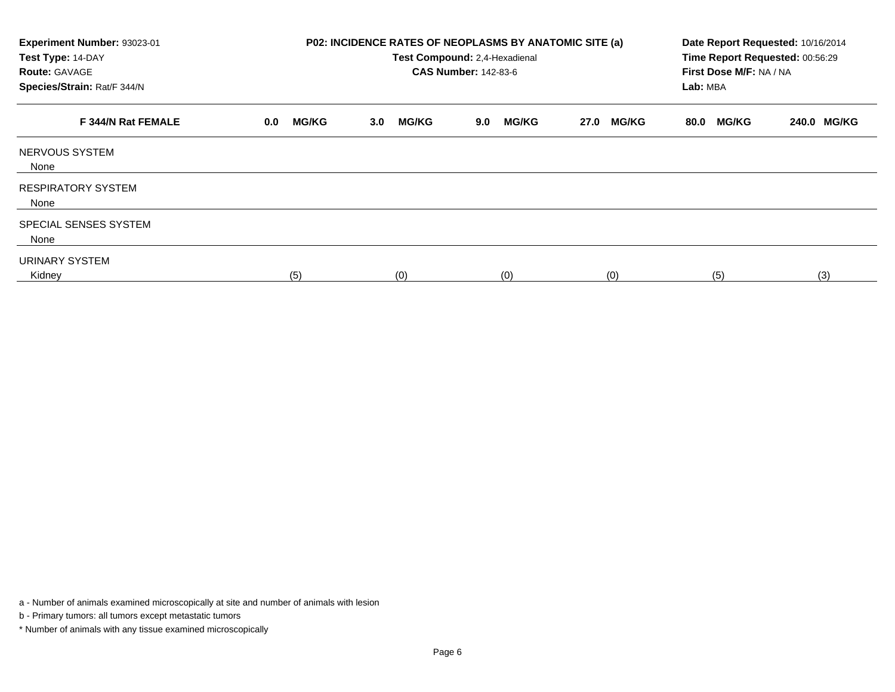| Experiment Number: 93023-01<br>Test Type: 14-DAY<br><b>Route: GAVAGE</b><br>Species/Strain: Rat/F 344/N | P02: INCIDENCE RATES OF NEOPLASMS BY ANATOMIC SITE (a)<br>Test Compound: 2,4-Hexadienal<br><b>CAS Number: 142-83-6</b> |     |              |     |              |      |              | Date Report Requested: 10/16/2014<br>Time Report Requested: 00:56:29<br>First Dose M/F: NA / NA<br>Lab: MBA |              |             |  |
|---------------------------------------------------------------------------------------------------------|------------------------------------------------------------------------------------------------------------------------|-----|--------------|-----|--------------|------|--------------|-------------------------------------------------------------------------------------------------------------|--------------|-------------|--|
| F 344/N Rat FEMALE                                                                                      | <b>MG/KG</b><br>0.0                                                                                                    | 3.0 | <b>MG/KG</b> | 9.0 | <b>MG/KG</b> | 27.0 | <b>MG/KG</b> | 80.0                                                                                                        | <b>MG/KG</b> | 240.0 MG/KG |  |
| NERVOUS SYSTEM<br>None                                                                                  |                                                                                                                        |     |              |     |              |      |              |                                                                                                             |              |             |  |
| <b>RESPIRATORY SYSTEM</b><br>None                                                                       |                                                                                                                        |     |              |     |              |      |              |                                                                                                             |              |             |  |
| SPECIAL SENSES SYSTEM<br>None                                                                           |                                                                                                                        |     |              |     |              |      |              |                                                                                                             |              |             |  |
| URINARY SYSTEM<br>Kidney                                                                                | (5)                                                                                                                    |     | (0)          |     | (0)          |      | (0)          |                                                                                                             | (5)          | (3)         |  |

a - Number of animals examined microscopically at site and number of animals with lesion

b - Primary tumors: all tumors except metastatic tumors